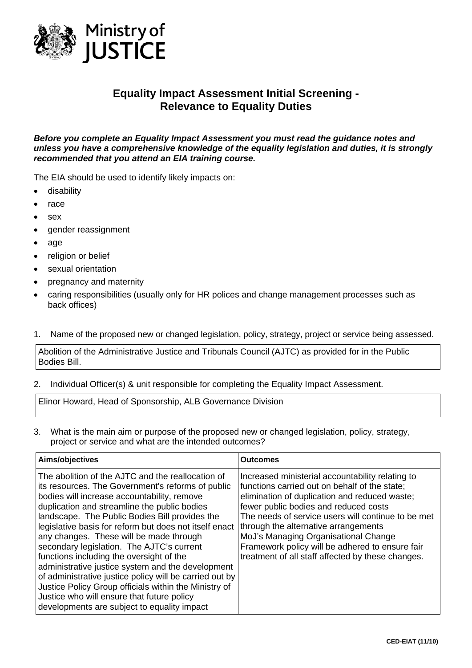

# **Equality Impact Assessment Initial Screening - Relevance to Equality Duties**

*Before you complete an Equality Impact Assessment you must read the guidance notes and unless you have a comprehensive knowledge of the equality legislation and duties, it is strongly recommended that you attend an EIA training course.* 

The EIA should be used to identify likely impacts on:

- disability
- race
- sex
- gender reassignment
- age
- religion or belief
- sexual orientation
- pregnancy and maternity
- caring responsibilities (usually only for HR polices and change management processes such as back offices)

### 1. Name of the proposed new or changed legislation, policy, strategy, project or service being assessed.

Abolition of the Administrative Justice and Tribunals Council (AJTC) as provided for in the Public Bodies Bill.

2. Individual Officer(s) & unit responsible for completing the Equality Impact Assessment.

Elinor Howard, Head of Sponsorship, ALB Governance Division

3. What is the main aim or purpose of the proposed new or changed legislation, policy, strategy, project or service and what are the intended outcomes?

| Aims/objectives<br>Outcomes                                                                                                                                                                                                                                                                                                                                                                                                                                                                                                                                                                                                                                                                                                 |                                                                                                                                                                                                                                                                                                                                                                                                                                           |
|-----------------------------------------------------------------------------------------------------------------------------------------------------------------------------------------------------------------------------------------------------------------------------------------------------------------------------------------------------------------------------------------------------------------------------------------------------------------------------------------------------------------------------------------------------------------------------------------------------------------------------------------------------------------------------------------------------------------------------|-------------------------------------------------------------------------------------------------------------------------------------------------------------------------------------------------------------------------------------------------------------------------------------------------------------------------------------------------------------------------------------------------------------------------------------------|
| The abolition of the AJTC and the reallocation of<br>its resources. The Government's reforms of public<br>bodies will increase accountability, remove<br>duplication and streamline the public bodies<br>landscape. The Public Bodies Bill provides the<br>legislative basis for reform but does not itself enact<br>any changes. These will be made through<br>secondary legislation. The AJTC's current<br>functions including the oversight of the<br>administrative justice system and the development<br>of administrative justice policy will be carried out by<br>Justice Policy Group officials within the Ministry of<br>Justice who will ensure that future policy<br>developments are subject to equality impact | Increased ministerial accountability relating to<br>functions carried out on behalf of the state;<br>elimination of duplication and reduced waste;<br>fewer public bodies and reduced costs<br>The needs of service users will continue to be met<br>through the alternative arrangements<br>MoJ's Managing Organisational Change<br>Framework policy will be adhered to ensure fair<br>treatment of all staff affected by these changes. |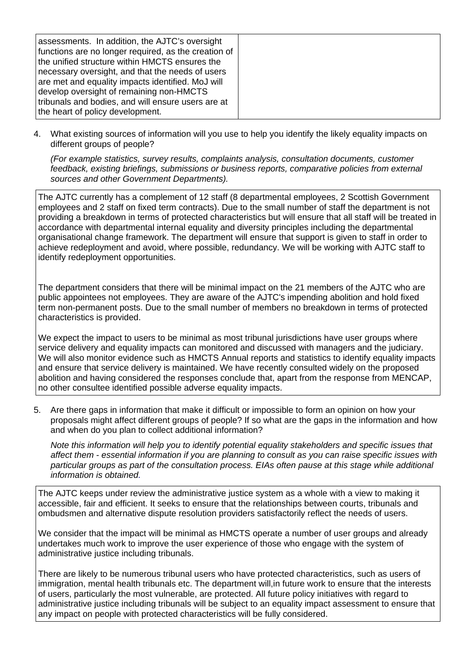|--|

4. What existing sources of information will you use to help you identify the likely equality impacts on different groups of people?

*(For example statistics, survey results, complaints analysis, consultation documents, customer feedback, existing briefings, submissions or business reports, comparative policies from external sources and other Government Departments).* 

The AJTC currently has a complement of 12 staff (8 departmental employees, 2 Scottish Government employees and 2 staff on fixed term contracts). Due to the small number of staff the department is not providing a breakdown in terms of protected characteristics but will ensure that all staff will be treated in accordance with departmental internal equality and diversity principles including the departmental organisational change framework. The department will ensure that support is given to staff in order to achieve redeployment and avoid, where possible, redundancy. We will be working with AJTC staff to identify redeployment opportunities.

The department considers that there will be minimal impact on the 21 members of the AJTC who are public appointees not employees. They are aware of the AJTC's impending abolition and hold fixed term non-permanent posts. Due to the small number of members no breakdown in terms of protected characteristics is provided.

We expect the impact to users to be minimal as most tribunal jurisdictions have user groups where service delivery and equality impacts can monitored and discussed with managers and the judiciary. We will also monitor evidence such as HMCTS Annual reports and statistics to identify equality impacts and ensure that service delivery is maintained. We have recently consulted widely on the proposed abolition and having considered the responses conclude that, apart from the response from MENCAP, no other consultee identified possible adverse equality impacts.

5. Are there gaps in information that make it difficult or impossible to form an opinion on how your proposals might affect different groups of people? If so what are the gaps in the information and how and when do you plan to collect additional information?

*Note this information will help you to identify potential equality stakeholders and specific issues that affect them - essential information if you are planning to consult as you can raise specific issues with particular groups as part of the consultation process. EIAs often pause at this stage while additional information is obtained.*

The AJTC keeps under review the administrative justice system as a whole with a view to making it accessible, fair and efficient. It seeks to ensure that the relationships between courts, tribunals and ombudsmen and alternative dispute resolution providers satisfactorily reflect the needs of users.

We consider that the impact will be minimal as HMCTS operate a number of user groups and already undertakes much work to improve the user experience of those who engage with the system of administrative justice including tribunals.

There are likely to be numerous tribunal users who have protected characteristics, such as users of immigration, mental health tribunals etc. The department will, in future work to ensure that the interests of users, particularly the most vulnerable, are protected. All future policy initiatives with regard to administrative justice including tribunals will be subject to an equality impact assessment to ensure that any impact on people with protected characteristics will be fully considered.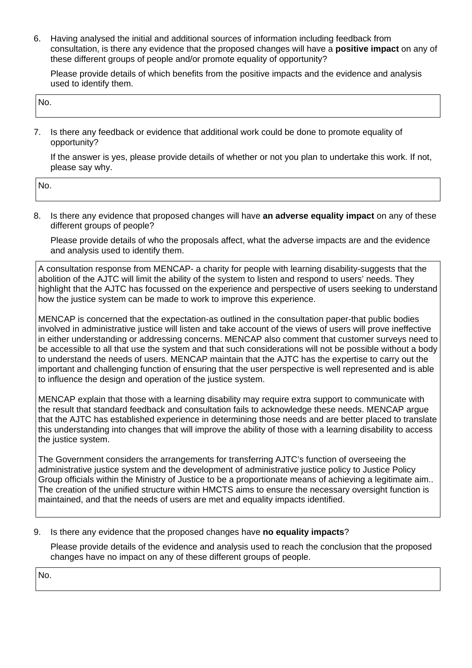6. Having analysed the initial and additional sources of information including feedback from consultation, is there any evidence that the proposed changes will have a **positive impact** on any of these different groups of people and/or promote equality of opportunity?

Please provide details of which benefits from the positive impacts and the evidence and analysis used to identify them.

| IN. |  |  |
|-----|--|--|
|     |  |  |

7. Is there any feedback or evidence that additional work could be done to promote equality of opportunity?

If the answer is yes, please provide details of whether or not you plan to undertake this work. If not, please say why.

| No. |  |
|-----|--|
|     |  |

8. Is there any evidence that proposed changes will have **an adverse equality impact** on any of these different groups of people?

Please provide details of who the proposals affect, what the adverse impacts are and the evidence and analysis used to identify them.

A consultation response from MENCAP- a charity for people with learning disability-suggests that the abolition of the AJTC will limit the ability of the system to listen and respond to users' needs. They highlight that the AJTC has focussed on the experience and perspective of users seeking to understand how the justice system can be made to work to improve this experience.

MENCAP is concerned that the expectation-as outlined in the consultation paper-that public bodies involved in administrative justice will listen and take account of the views of users will prove ineffective in either understanding or addressing concerns. MENCAP also comment that customer surveys need to be accessible to all that use the system and that such considerations will not be possible without a body to understand the needs of users. MENCAP maintain that the AJTC has the expertise to carry out the important and challenging function of ensuring that the user perspective is well represented and is able to influence the design and operation of the justice system.

MENCAP explain that those with a learning disability may require extra support to communicate with the result that standard feedback and consultation fails to acknowledge these needs. MENCAP argue that the AJTC has established experience in determining those needs and are better placed to translate this understanding into changes that will improve the ability of those with a learning disability to access the justice system.

The Government considers the arrangements for transferring AJTC's function of overseeing the administrative justice system and the development of administrative justice policy to Justice Policy Group officials within the Ministry of Justice to be a proportionate means of achieving a legitimate aim.. The creation of the unified structure within HMCTS aims to ensure the necessary oversight function is maintained, and that the needs of users are met and equality impacts identified.

# 9. Is there any evidence that the proposed changes have **no equality impacts**?

Please provide details of the evidence and analysis used to reach the conclusion that the proposed changes have no impact on any of these different groups of people.

No.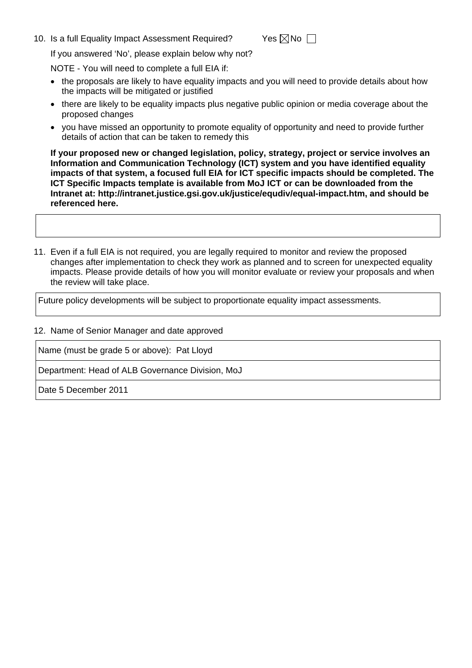10. Is a full Equality Impact Assessment Required? Yes  $\boxtimes$  No  $\Box$ 

If you answered 'No', please explain below why not?

NOTE - You will need to complete a full EIA if:

- the proposals are likely to have equality impacts and you will need to provide details about how the impacts will be mitigated or justified
- there are likely to be equality impacts plus negative public opinion or media coverage about the proposed changes
- you have missed an opportunity to promote equality of opportunity and need to provide further details of action that can be taken to remedy this

**If your proposed new or changed legislation, policy, strategy, project or service involves an Information and Communication Technology (ICT) system and you have identified equality impacts of that system, a focused full EIA for ICT specific impacts should be completed. The ICT Specific Impacts template is available from MoJ ICT or can be downloaded from the Intranet at: <http://intranet.justice.gsi.gov.uk/justice/equdiv/equal-impact.htm>, and should be referenced here.** 

11. Even if a full EIA is not required, you are legally required to monitor and review the proposed changes after implementation to check they work as planned and to screen for unexpected equality impacts. Please provide details of how you will monitor evaluate or review your proposals and when the review will take place.

Future policy developments will be subject to proportionate equality impact assessments.

#### 12. Name of Senior Manager and date approved

Name (must be grade 5 or above): Pat Lloyd

Department: Head of ALB Governance Division, MoJ

Date 5 December 2011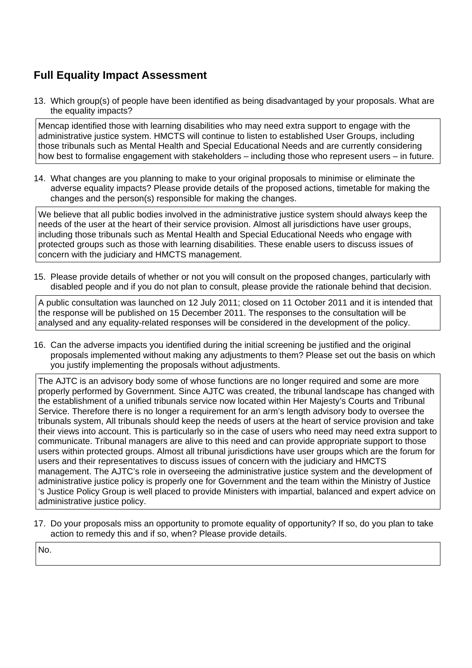# **Full Equality Impact Assessment**

13. Which group(s) of people have been identified as being disadvantaged by your proposals. What are the equality impacts?

Mencap identified those with learning disabilities who may need extra support to engage with the administrative justice system. HMCTS will continue to listen to established User Groups, including those tribunals such as Mental Health and Special Educational Needs and are currently considering how best to formalise engagement with stakeholders – including those who represent users – in future.

14. What changes are you planning to make to your original proposals to minimise or eliminate the adverse equality impacts? Please provide details of the proposed actions, timetable for making the changes and the person(s) responsible for making the changes.

We believe that all public bodies involved in the administrative justice system should always keep the needs of the user at the heart of their service provision. Almost all jurisdictions have user groups, including those tribunals such as Mental Health and Special Educational Needs who engage with protected groups such as those with learning disabilities. These enable users to discuss issues of concern with the judiciary and HMCTS management.

15. Please provide details of whether or not you will consult on the proposed changes, particularly with disabled people and if you do not plan to consult, please provide the rationale behind that decision.

A public consultation was launched on 12 July 2011; closed on 11 October 2011 and it is intended that the response will be published on 15 December 2011. The responses to the consultation will be analysed and any equality-related responses will be considered in the development of the policy.

16. Can the adverse impacts you identified during the initial screening be justified and the original proposals implemented without making any adjustments to them? Please set out the basis on which you justify implementing the proposals without adjustments.

The AJTC is an advisory body some of whose functions are no longer required and some are more properly performed by Government. Since AJTC was created, the tribunal landscape has changed with the establishment of a unified tribunals service now located within Her Majesty's Courts and Tribunal Service. Therefore there is no longer a requirement for an arm's length advisory body to oversee the tribunals system, All tribunals should keep the needs of users at the heart of service provision and take their views into account. This is particularly so in the case of users who need may need extra support to communicate. Tribunal managers are alive to this need and can provide appropriate support to those users within protected groups. Almost all tribunal jurisdictions have user groups which are the forum for users and their representatives to discuss issues of concern with the judiciary and HMCTS management. The AJTC's role in overseeing the administrative justice system and the development of administrative justice policy is properly one for Government and the team within the Ministry of Justice 's Justice Policy Group is well placed to provide Ministers with impartial, balanced and expert advice on administrative justice policy.

17. Do your proposals miss an opportunity to promote equality of opportunity? If so, do you plan to take action to remedy this and if so, when? Please provide details.

No.